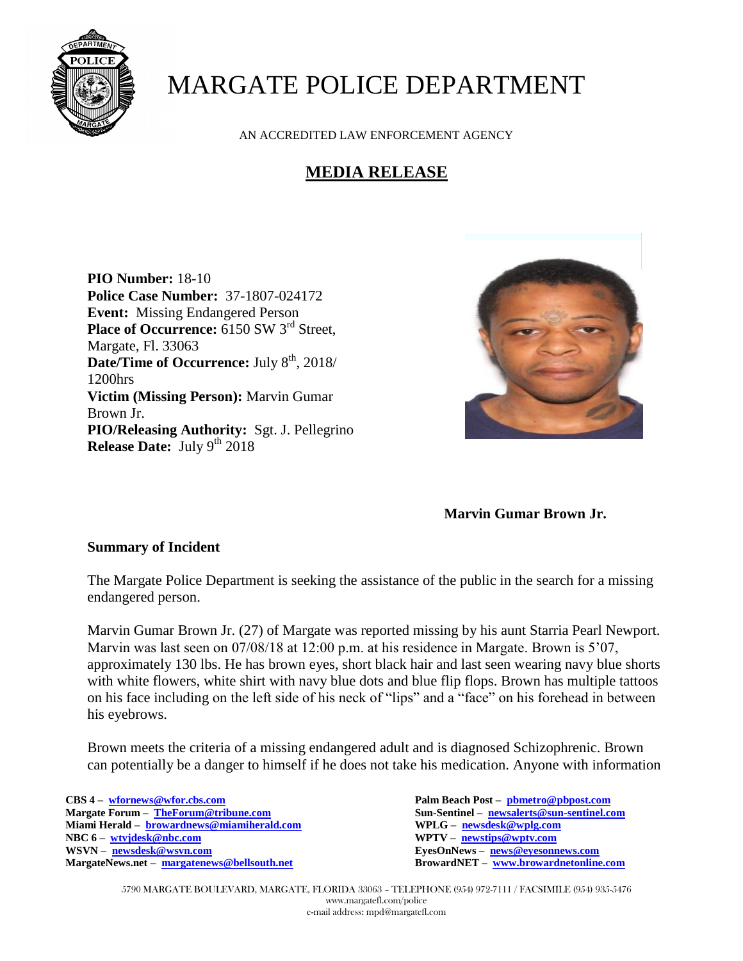

# MARGATE POLICE DEPARTMENT

AN ACCREDITED LAW ENFORCEMENT AGENCY

## **MEDIA RELEASE**

**PIO Number:** 18-10 **Police Case Number:** 37-1807-024172 **Event:** Missing Endangered Person **Place of Occurrence:** 6150 SW 3<sup>rd</sup> Street, Margate, Fl. 33063 **Date/Time of Occurrence:** July  $8<sup>th</sup>$ , 2018/ 1200hrs **Victim (Missing Person):** Marvin Gumar Brown Jr. **PIO/Releasing Authority:** Sgt. J. Pellegrino **Release Date:** July 9<sup>th</sup> 2018



#### **Marvin Gumar Brown Jr.**

#### **Summary of Incident**

The Margate Police Department is seeking the assistance of the public in the search for a missing endangered person.

Marvin Gumar Brown Jr. (27) of Margate was reported missing by his aunt Starria Pearl Newport. Marvin was last seen on 07/08/18 at 12:00 p.m. at his residence in Margate. Brown is 5'07, approximately 130 lbs. He has brown eyes, short black hair and last seen wearing navy blue shorts with white flowers, white shirt with navy blue dots and blue flip flops. Brown has multiple tattoos on his face including on the left side of his neck of "lips" and a "face" on his forehead in between his eyebrows.

Brown meets the criteria of a missing endangered adult and is diagnosed Schizophrenic. Brown can potentially be a danger to himself if he does not take his medication. Anyone with information

**CBS 4 – [wfornews@wfor.cbs.com](mailto:wfornews@wfor.cbs.com) Palm Beach Post – [pbmetro@pbpost.com](mailto:pbmetro@pbpost.com) Miami Herald – [browardnews@miamiherald.com](mailto:browardnews@miamiherald.com) WPLG – [newsdesk@wplg.com](mailto:newsdesk@wplg.com) NBC 6 – [wtvjdesk@nbc.com](mailto:wtvjdesk@nbc.com) WPTV – [newstips@wptv.com](mailto:newstips@wptv.com)  MargateNews.net – [margatenews@bellsouth.net](mailto:margatenews@bellsouth.net)** 

 $\text{Sun-Sentinel} - \text{newsalerts@sun-sentinel.com}$  $\text{Sun-Sentinel} - \text{newsalerts@sun-sentinel.com}$  $\text{Sun-Sentinel} - \text{newsalerts@sun-sentinel.com}$ **EyesOnNews – [news@eyesonnews.com](mailto:news@eyesonnews.com)**<br>**BrowardNET – www.browardnetonline.com** 

5790 MARGATE BOULEVARD, MARGATE, FLORIDA 33063 – TELEPHONE (954) 972-7111 / FACSIMILE (954) 935-5476 www.margatefl.com/police e-mail address: mpd@margatefl.com